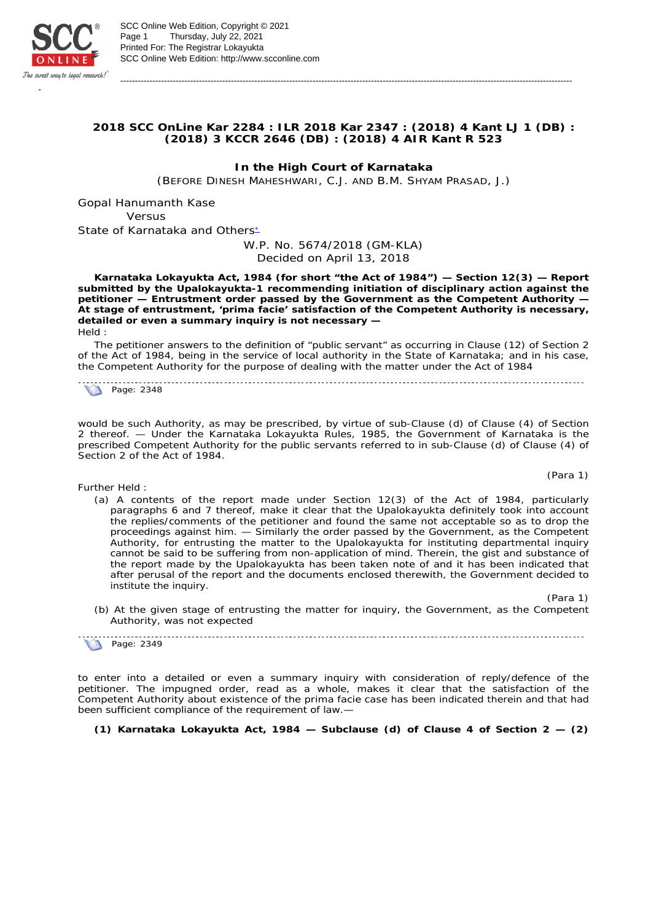

**2018 SCC OnLine Kar 2284 : ILR 2018 Kar 2347 : (2018) 4 Kant LJ 1 (DB) : (2018) 3 KCCR 2646 (DB) : (2018) 4 AIR Kant R 523**

-----------------------------------------------------------------------------------------------------------------------------------------------------------

**In the High Court of Karnataka** (BEFORE DINESH MAHESHWARI, C.J. AND B.M. SHYAM PRASAD, J.)

Gopal Hanumanth Kase *Versus* State of Karnataka and Others\*

## W.P. No. 5674/2018 (GM-KLA) Decided on April 13, 2018

**Karnataka Lokayukta Act, 1984 (for short "the Act of 1984") — Section 12(3) — Report submitted by the Upalokayukta-1 recommending initiation of disciplinary action against the petitioner — Entrustment order passed by the Government as the Competent Authority — At stage of entrustment, 'prima facie' satisfaction of the Competent Authority is necessary, detailed or even a summary inquiry is not necessary —**  *Held* :

The petitioner answers to the definition of "public servant" as occurring in Clause (12) of Section 2 of the Act of 1984, being in the service of local authority in the State of Karnataka; and in his case, the Competent Authority for the purpose of dealing with the matter under the Act of 1984

Page: 2348

would be such Authority, as may be prescribed, by virtue of sub-Clause (d) of Clause (4) of Section 2 thereof. — Under the Karnataka Lokayukta Rules, 1985, the Government of Karnataka is the prescribed Competent Authority for the public servants referred to in sub-Clause (d) of Clause (4) of Section 2 of the Act of 1984.

*Further Held* :

(a) A contents of the report made under Section 12(3) of the Act of 1984, particularly paragraphs 6 and 7 thereof, make it clear that the Upalokayukta definitely took into account the replies/comments of the petitioner and found the same not acceptable so as to drop the proceedings against him. — Similarly the order passed by the Government, as the Competent Authority, for entrusting the matter to the Upalokayukta for instituting departmental inquiry cannot be said to be suffering from non-application of mind. Therein, the gist and substance of the report made by the Upalokayukta has been taken note of and it has been indicated that after perusal of the report and the documents enclosed therewith, the Government decided to institute the inquiry.

(Para 1)

(b) At the given stage of entrusting the matter for inquiry, the Government, as the Competent Authority, was not expected

Page: 2349

to enter into a detailed or even a summary inquiry with consideration of reply/defence of the petitioner. The impugned order, read as a whole, makes it clear that the satisfaction of the Competent Authority about existence of the *prima facie case* has been indicated therein and that had been sufficient compliance of the requirement of law.—

**(1) Karnataka Lokayukta Act, 1984 — Subclause (d) of Clause 4 of Section 2 — (2)** 

(Para 1)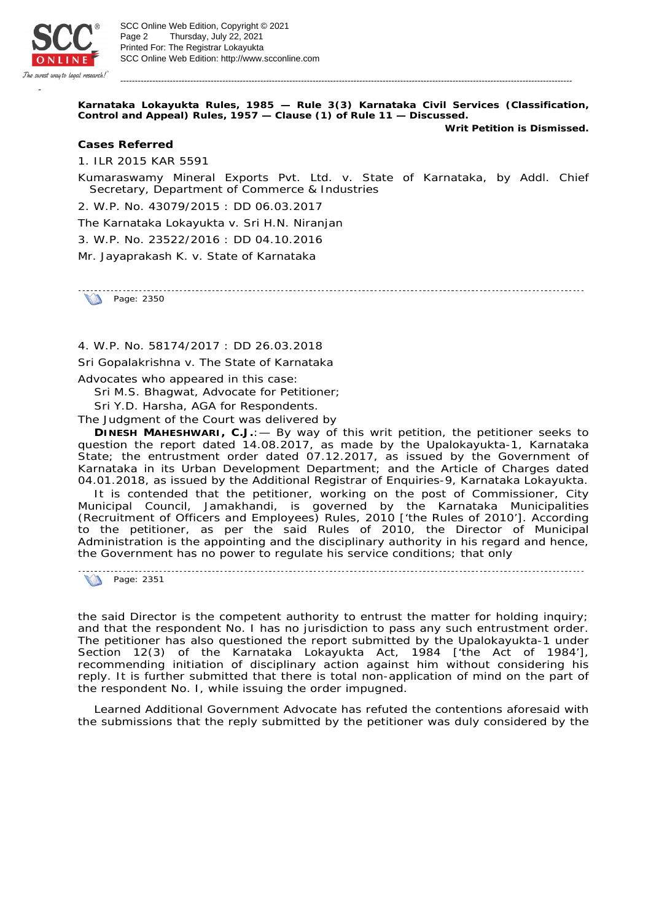

**Karnataka Lokayukta Rules, 1985 — Rule 3(3) Karnataka Civil Services (Classification, Control and Appeal) Rules, 1957 — Clause (1) of Rule 11 — Discussed.** 

-----------------------------------------------------------------------------------------------------------------------------------------------------------

**Writ Petition is Dismissed.**

*Cases Referred*

1. ILR 2015 KAR 5591

*Kumaraswamy Mineral Exports Pvt. Ltd.* v. *State of Karnataka, by Addl. Chief Secretary, Department of Commerce & Industries*

2. W.P. No. 43079/2015 : DD 06.03.2017

*The Karnataka Lokayukta* v. *Sri H.N. Niranjan*

3. W.P. No. 23522/2016 : DD 04.10.2016

*Mr. Jayaprakash K.* v. *State of Karnataka*

**Page: 2350** 

4. W.P. No. 58174/2017 : DD 26.03.2018

*Sri Gopalakrishna* v. *The State of Karnataka*

Advocates who appeared in this case:

Sri M.S. Bhagwat, Advocate for Petitioner;

Sri Y.D. Harsha, AGA for Respondents.

The Judgment of the Court was delivered by

**DINESH MAHESHWARI, C.J.**:— By way of this writ petition, the petitioner seeks to question the report dated 14.08.2017, as made by the Upalokayukta-1, Karnataka State; the entrustment order dated 07.12.2017, as issued by the Government of Karnataka in its Urban Development Department; and the Article of Charges dated 04.01.2018, as issued by the Additional Registrar of Enquiries-9, Karnataka Lokayukta.

It is contended that the petitioner, working on the post of Commissioner, City Municipal Council, Jamakhandi, is governed by the Karnataka Municipalities (Recruitment of Officers and Employees) Rules, 2010 ['the Rules of 2010']. According to the petitioner, as per the said Rules of 2010, the Director of Municipal Administration is the appointing and the disciplinary authority in his regard and hence, the Government has no power to regulate his service conditions; that only

**Page: 2351** 

the said Director is the competent authority to entrust the matter for holding inquiry; and that the respondent No. I has no jurisdiction to pass any such entrustment order. The petitioner has also questioned the report submitted by the Upalokayukta-1 under Section 12(3) of the Karnataka Lokayukta Act, 1984 ['the Act of 1984'], recommending initiation of disciplinary action against him without considering his reply. It is further submitted that there is total non-application of mind on the part of the respondent No. I, while issuing the order impugned.

Learned Additional Government Advocate has refuted the contentions aforesaid with the submissions that the reply submitted by the petitioner was duly considered by the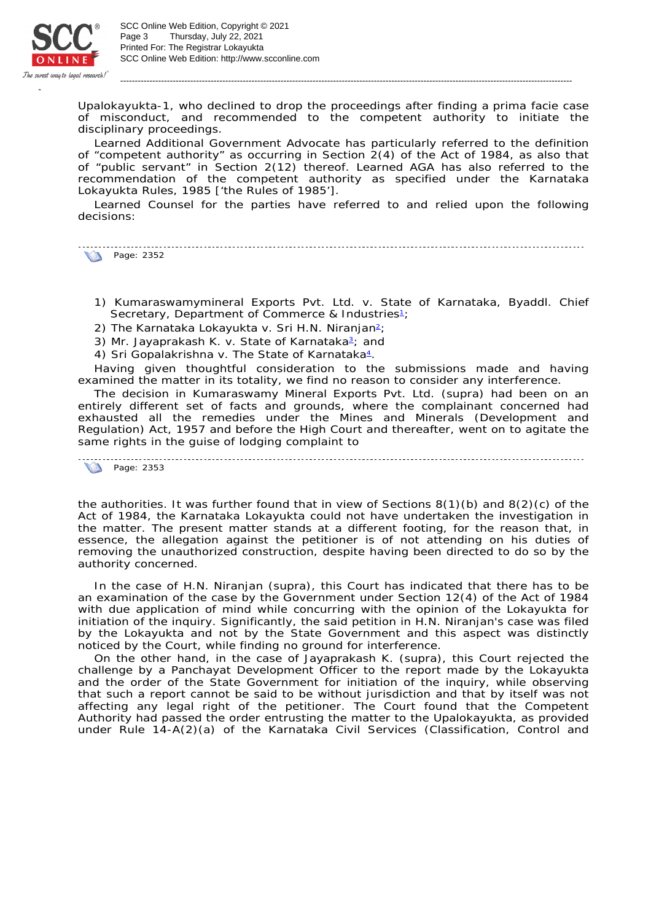

SCC Online Web Edition: http://www.scconline.com Printed For: The Registrar Lokayukta Page 3 Thursday, July 22, 2021 SCC Online Web Edition, Copyright © 2021

Upalokayukta-1, who declined to drop the proceedings after finding a *prima facie case* of misconduct, and recommended to the competent authority to initiate the disciplinary proceedings.

-----------------------------------------------------------------------------------------------------------------------------------------------------------

Learned Additional Government Advocate has particularly referred to the definition of "competent authority" as occurring in Section 2(4) of the Act of 1984, as also that of "public servant" in Section 2(12) thereof. Learned AGA has also referred to the recommendation of the competent authority as specified under the Karnataka Lokayukta Rules, 1985 ['the Rules of 1985'].

Learned Counsel for the parties have referred to and relied upon the following decisions:

**Page: 2352** 

- 1) *Kumaraswamymineral Exports Pvt. Ltd.* v. *State of Karnataka, Byaddl. Chief*  Secretary, Department of Commerce & Industries<sup>1</sup>;
- 2) The Karnataka Lokayukta v. Sri H.N. Niranjan<sup>2</sup>;
- 3) Mr. Jayaprakash K. v. State of Karnataka<sup>3</sup>; and
- 4) Sri Gopalakrishna v. The State of Karnataka<sup>4</sup>.

Having given thoughtful consideration to the submissions made and having examined the matter in its totality, we find no reason to consider any interference.

The decision in *Kumaraswamy Mineral Exports Pvt. Ltd.* (supra) had been on an entirely different set of facts and grounds, where the complainant concerned had exhausted all the remedies under the Mines and Minerals (Development and Regulation) Act, 1957 and before the High Court and thereafter, went on to agitate the same rights in the guise of lodging complaint to

Page: 2353

the authorities. It was further found that in view of Sections  $8(1)(b)$  and  $8(2)(c)$  of the Act of 1984, the Karnataka Lokayukta could not have undertaken the investigation in the matter. The present matter stands at a different footing, for the reason that, in essence, the allegation against the petitioner is of not attending on his duties of removing the unauthorized construction, despite having been directed to do so by the authority concerned.

In the case of *H.N. Niranjan* (supra), this Court has indicated that there has to be an examination of the case by the Government under Section 12(4) of the Act of 1984 with due application of mind while concurring with the opinion of the Lokayukta for initiation of the inquiry. Significantly, the said petition in *H.N. Niranjan's case* was filed by the Lokayukta and not by the State Government and this aspect was distinctly noticed by the Court, while finding no ground for interference.

On the other hand, in the case of *Jayaprakash K.* (supra), this Court rejected the challenge by a Panchayat Development Officer to the report made by the Lokayukta and the order of the State Government for initiation of the inquiry, while observing that such a report cannot be said to be without jurisdiction and that by itself was not affecting any legal right of the petitioner. The Court found that the Competent Authority had passed the order entrusting the matter to the Upalokayukta, as provided under Rule 14-A(2)(a) of the Karnataka Civil Services (Classification, Control and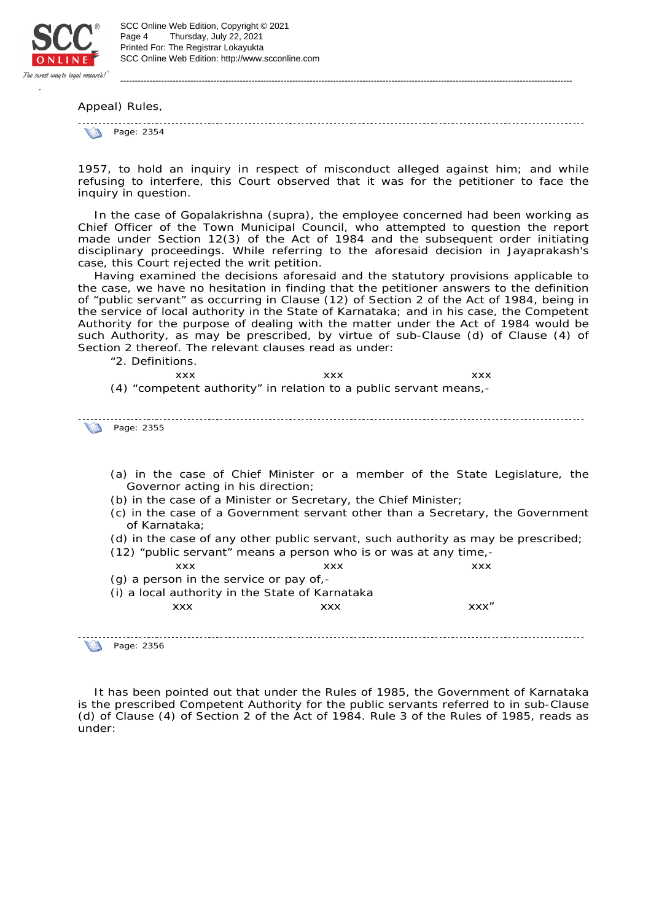

Appeal) Rules,

**Page: 2354** 

1957, to hold an inquiry in respect of misconduct alleged against him; and while refusing to interfere, this Court observed that it was for the petitioner to face the inquiry in question.

-----------------------------------------------------------------------------------------------------------------------------------------------------------

In the case of *Gopalakrishna* (supra), the employee concerned had been working as Chief Officer of the Town Municipal Council, who attempted to question the report made under Section 12(3) of the Act of 1984 and the subsequent order initiating disciplinary proceedings. While referring to the aforesaid decision in *Jayaprakash's case*, this Court rejected the writ petition.

Having examined the decisions aforesaid and the statutory provisions applicable to the case, we have no hesitation in finding that the petitioner answers to the definition of "public servant" as occurring in Clause (12) of Section 2 of the Act of 1984, being in the service of local authority in the State of Karnataka; and in his case, the Competent Authority for the purpose of dealing with the matter under the Act of 1984 would be such Authority, as may be prescribed, by virtue of sub-Clause (d) of Clause (4) of Section 2 thereof. The relevant clauses read as under:

"2. Definitions. xxx xxx xxx xxx (4) "*competent authority" in relation to a public servant means,-*

Page: 2355

- *(a) in the case of Chief Minister or a member of the State Legislature, the Governor acting in his direction;*
- *(b) in the case of a Minister or Secretary, the Chief Minister;*
- *(c) in the case of a Government servant other than a Secretary, the Government of Karnataka;*
- *(d) in the case of any other public servant, such authority as may be prescribed;*
- *(12) "public servant" means a person who is or was at any time*, xxx xxx xxx xxx *(g) a person in the service or pay of,- (i) a local authority in the State of Karnataka* xxx xxx xxx"

Page: 2356

It has been pointed out that under the Rules of 1985, the Government of Karnataka is the prescribed Competent Authority for the public servants referred to in sub-Clause (d) of Clause (4) of Section 2 of the Act of 1984. Rule 3 of the Rules of 1985, reads as under: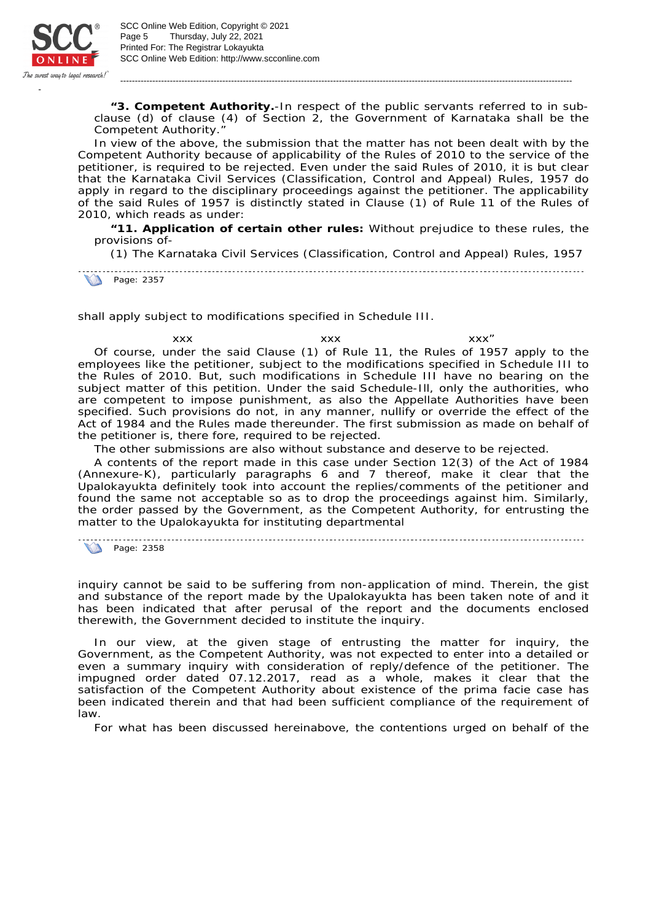

*"3. Competent Authority.-In respect of the public servants referred to in subclause (d) of clause (4) of Section 2, the Government of Karnataka shall be the Competent Authority."*

-----------------------------------------------------------------------------------------------------------------------------------------------------------

In view of the above, the submission that the matter has not been dealt with by the Competent Authority because of applicability of the Rules of 2010 to the service of the petitioner, is required to be rejected. Even under the said Rules of 2010, it is but clear that the Karnataka Civil Services (Classification, Control and Appeal) Rules, 1957 do apply in regard to the disciplinary proceedings against the petitioner. The applicability of the said Rules of 1957 is distinctly stated in Clause (1) of Rule 11 of the Rules of 2010, which reads as under:

*"11. Application of certain other rules: Without prejudice to these rules, the provisions of-*

*(1) The Karnataka Civil Services (Classification, Control and Appeal) Rules, 1957* 

**1** Page: 2357

*shall apply subject to modifications specified in Schedule III.*

xxx xxx xxx" Of course, under the said Clause (1) of Rule 11, the Rules of 1957 apply to the employees like the petitioner, subject to the modifications specified in Schedule III to the Rules of 2010. But, such modifications in Schedule III have no bearing on the subject matter of this petition. Under the said Schedule-Ill, only the authorities, who are competent to impose punishment, as also the Appellate Authorities have been specified. Such provisions do not, in any manner, nullify or override the effect of the Act of 1984 and the Rules made thereunder. The first submission as made on behalf of the petitioner is, there fore, required to be rejected.

The other submissions are also without substance and deserve to be rejected.

A contents of the report made in this case under Section 12(3) of the Act of 1984 (Annexure-K), particularly paragraphs 6 and 7 thereof, make it clear that the Upalokayukta definitely took into account the replies/comments of the petitioner and found the same not acceptable so as to drop the proceedings against him. Similarly, the order passed by the Government, as the Competent Authority, for entrusting the matter to the Upalokayukta for instituting departmental

Page: 2358

inquiry cannot be said to be suffering from non-application of mind. Therein, the gist and substance of the report made by the Upalokayukta has been taken note of and it has been indicated that after perusal of the report and the documents enclosed therewith, the Government decided to institute the inquiry.

In our view, at the given stage of entrusting the matter for inquiry, the Government, as the Competent Authority, was not expected to enter into a detailed or even a summary inquiry with consideration of reply/defence of the petitioner. The impugned order dated 07.12.2017, read as a whole, makes it clear that the satisfaction of the Competent Authority about existence of the prima facie case has been indicated therein and that had been sufficient compliance of the requirement of law.

For what has been discussed hereinabove, the contentions urged on behalf of the